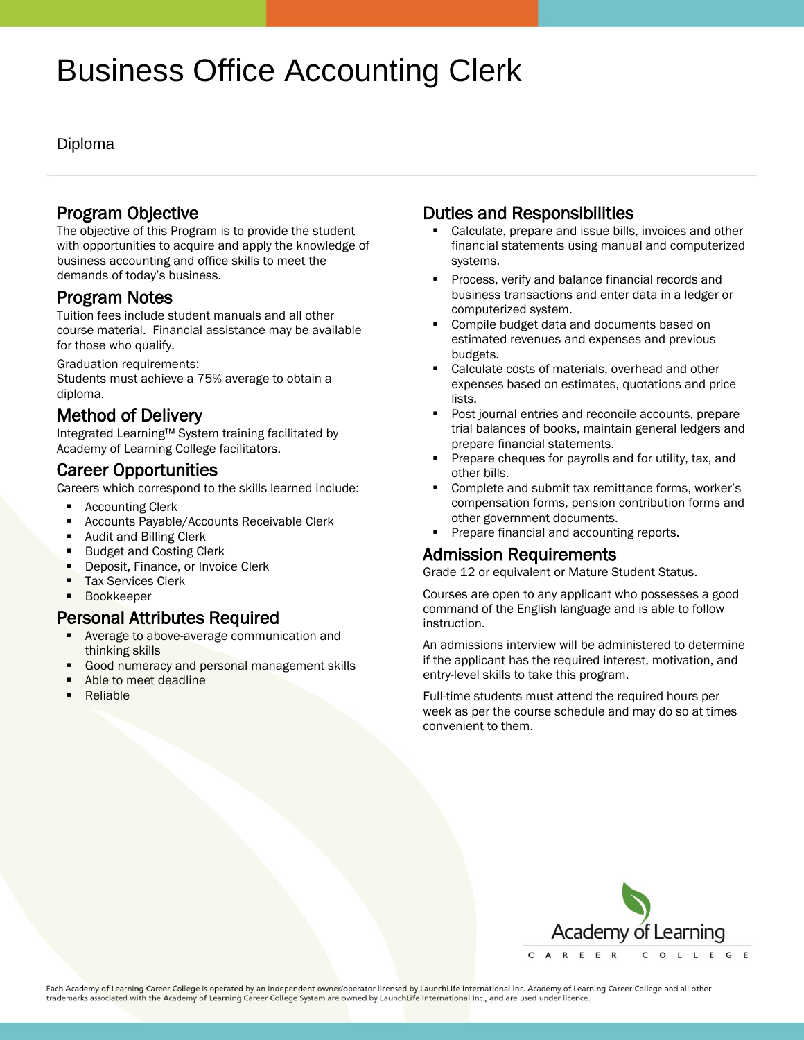# Business Office Accounting Clerk

#### Diploma

#### Program Objective

The objective of this Program is to provide the student with opportunities to acquire and apply the knowledge of business accounting and office skills to meet the demands of today's business.

#### Program Notes

Tuition fees include student manuals and all other course material. Financial assistance may be available for those who qualify.

Graduation requirements: Students must achieve a 75% average to obtain a diploma.

## Method of Delivery

Integrated Learning™ System training facilitated by Academy of Learning College facilitators.

#### Career Opportunities

Careers which correspond to the skills learned include:

- Accounting Clerk
- Accounts Payable/Accounts Receivable Clerk
- Audit and Billing Clerk
- Budget and Costing Clerk
- **Deposit, Finance, or Invoice Clerk**
- Tax Services Clerk
- **Bookkeeper**

## Personal Attributes Required

- Average to above-average communication and thinking skills
- Good numeracy and personal management skills
- Able to meet deadline
- Reliable

# Duties and Responsibilities

- Calculate, prepare and issue bills, invoices and other financial statements using manual and computerized systems.
- **Process, verify and balance financial records and** business transactions and enter data in a ledger or computerized system.
- Compile budget data and documents based on estimated revenues and expenses and previous budgets.
- Calculate costs of materials, overhead and other expenses based on estimates, quotations and price lists.
- Post journal entries and reconcile accounts, prepare trial balances of books, maintain general ledgers and prepare financial statements.
- Prepare cheques for payrolls and for utility, tax, and other bills.
- Complete and submit tax remittance forms, worker's compensation forms, pension contribution forms and other government documents.
- **Prepare financial and accounting reports.**

# Admission Requirements

Grade 12 or equivalent or Mature Student Status.

Courses are open to any applicant who possesses a good command of the English language and is able to follow instruction.

An admissions interview will be administered to determine if the applicant has the required interest, motivation, and entry-level skills to take this program.

Full-time students must attend the required hours per week as per the course schedule and may do so at times convenient to them.